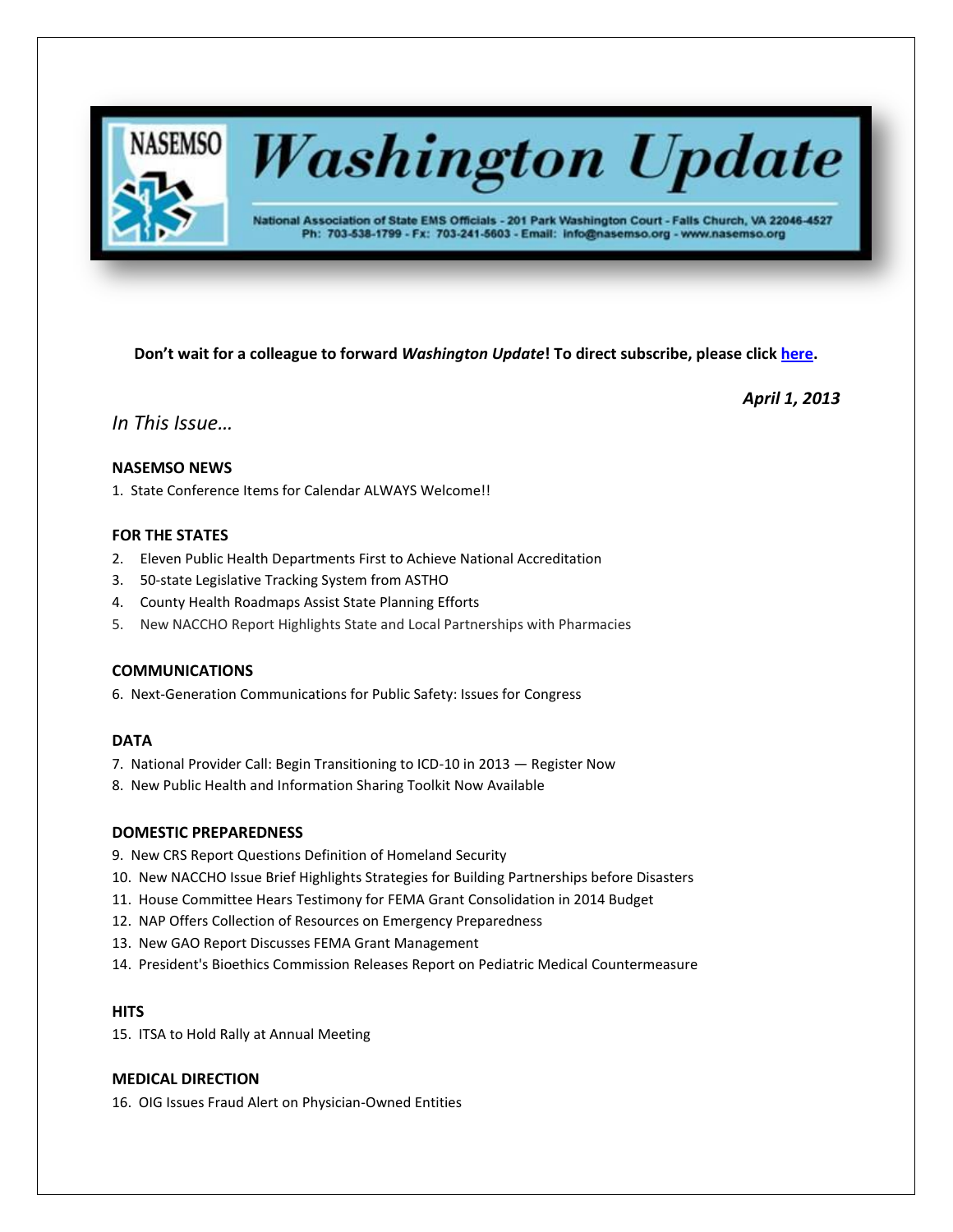

# **Washington Update**

National Association of State EMS Officials - 201 Park Washington Court - Falls Church, VA 22046-4527 Ph: 703-538-1799 - Fx: 703-241-5603 - Email: info@nasemso.org - www.nasemso.org

**Don't wait for a colleague to forward** *Washington Update***! To direct subscribe, please click [here.](http://lists.nasemso.org/read/all_forums/subscribe?name=wu%20)**

*April 1, 2013*

*In This Issue…*

# **NASEMSO NEWS**

1. State Conference Items for Calendar ALWAYS Welcome!!

# **FOR THE STATES**

- 2. Eleven Public Health Departments First to Achieve National Accreditation
- 3. 50-state Legislative Tracking System from ASTHO
- 4. County Health Roadmaps Assist State Planning Efforts
- 5. New NACCHO Report Highlights State and Local Partnerships with Pharmacies

# **COMMUNICATIONS**

6. Next-Generation Communications for Public Safety: Issues for Congress

# **DATA**

- 7. National Provider Call: Begin Transitioning to ICD-10 in 2013 Register Now
- 8. New Public Health and Information Sharing Toolkit Now Available

# **DOMESTIC PREPAREDNESS**

- 9. New CRS Report Questions Definition of Homeland Security
- 10. New NACCHO Issue Brief Highlights Strategies for Building Partnerships before Disasters
- 11. House Committee Hears Testimony for FEMA Grant Consolidation in 2014 Budget
- 12. NAP Offers Collection of Resources on Emergency Preparedness
- 13. New GAO Report Discusses FEMA Grant Management
- 14. President's Bioethics Commission Releases Report on Pediatric Medical Countermeasure

# **HITS**

15. ITSA to Hold Rally at Annual Meeting

# **MEDICAL DIRECTION**

16. OIG Issues Fraud Alert on Physician-Owned Entities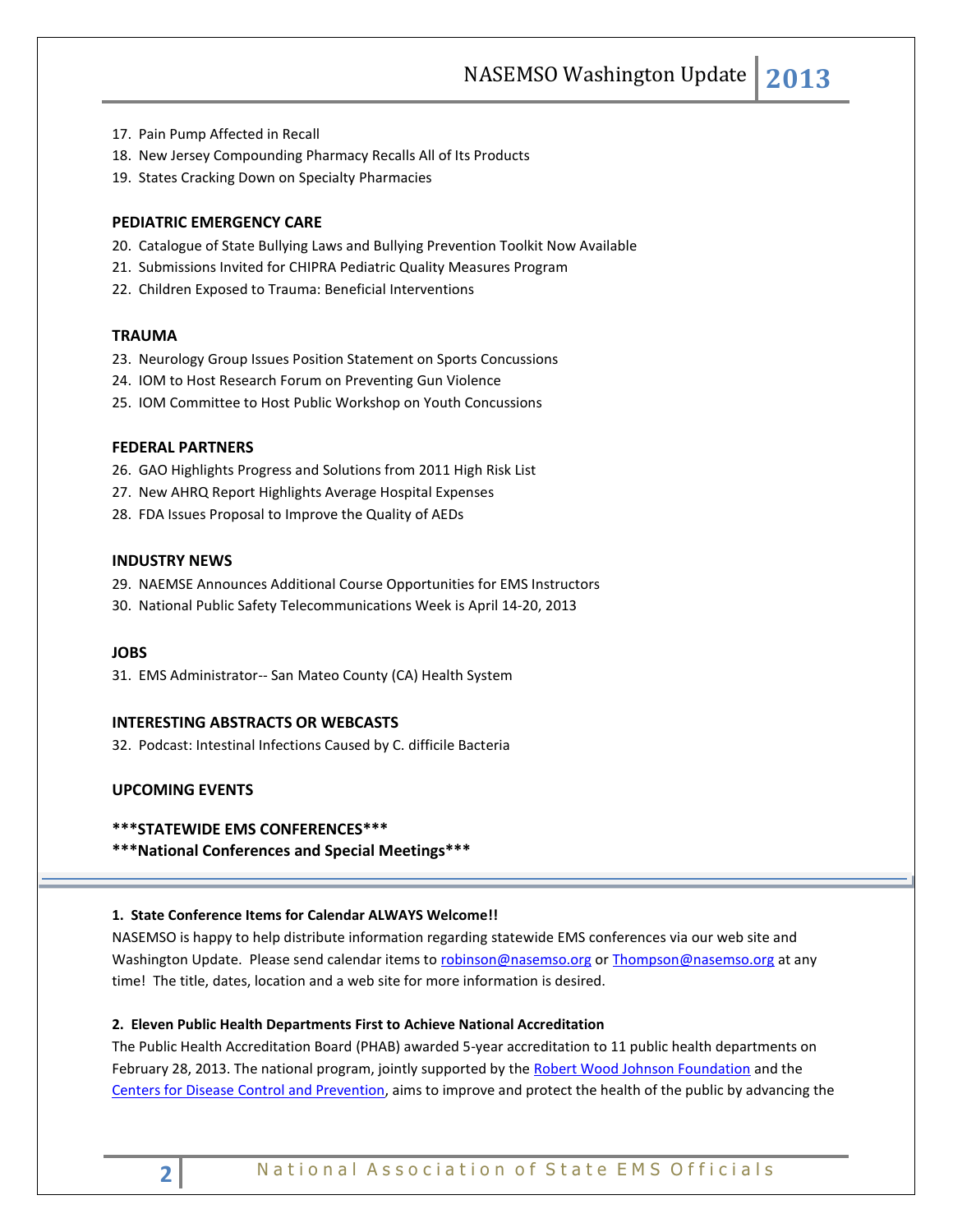NASEMSO Washington Update **2013**

- 17. Pain Pump Affected in Recall
- 18. New Jersey Compounding Pharmacy Recalls All of Its Products
- 19. States Cracking Down on Specialty Pharmacies

# **PEDIATRIC EMERGENCY CARE**

- 20. Catalogue of State Bullying Laws and Bullying Prevention Toolkit Now Available
- 21. Submissions Invited for CHIPRA Pediatric Quality Measures Program
- 22. Children Exposed to Trauma: Beneficial Interventions

#### **TRAUMA**

- 23. Neurology Group Issues Position Statement on Sports Concussions
- 24. IOM to Host Research Forum on Preventing Gun Violence
- 25. IOM Committee to Host Public Workshop on Youth Concussions

#### **FEDERAL PARTNERS**

- 26. GAO Highlights Progress and Solutions from 2011 High Risk List
- 27. New AHRQ Report Highlights Average Hospital Expenses
- 28. FDA Issues Proposal to Improve the Quality of AEDs

#### **INDUSTRY NEWS**

- 29. NAEMSE Announces Additional Course Opportunities for EMS Instructors
- 30. National Public Safety Telecommunications Week is April 14-20, 2013

#### **JOBS**

31. EMS Administrator-- San Mateo County (CA) Health System

#### **INTERESTING ABSTRACTS OR WEBCASTS**

32. Podcast: Intestinal Infections Caused by C. difficile Bacteria

# **UPCOMING EVENTS**

#### **\*\*\*STATEWIDE EMS CONFERENCES\*\*\***

**\*\*\*National Conferences and Special Meetings\*\*\***

#### **1. State Conference Items for Calendar ALWAYS Welcome!!**

NASEMSO is happy to help distribute information regarding statewide EMS conferences via our web site and Washington Update. Please send calendar items to [robinson@nasemso.org](mailto:robinson@nasemso.org) o[r Thompson@nasemso.org](mailto:Thompson@nasemso.org) at any time! The title, dates, location and a web site for more information is desired.

#### **2. Eleven Public Health Departments First to Achieve National Accreditation**

The Public Health Accreditation Board (PHAB) awarded 5-year accreditation to 11 public health departments on February 28, 2013. The national program, jointly supported by the [Robert Wood Johnson Foundation](http://www.rwjf.org/en/blogs/new-public-health.html?bst=new-public-health%3Aaccreditation) and the [Centers for Disease Control and Prevention,](http://www.rwjf.org/en/blogs/new-public-health.html?bst=new-public-health%3Aaccreditation) aims to improve and protect the health of the public by advancing the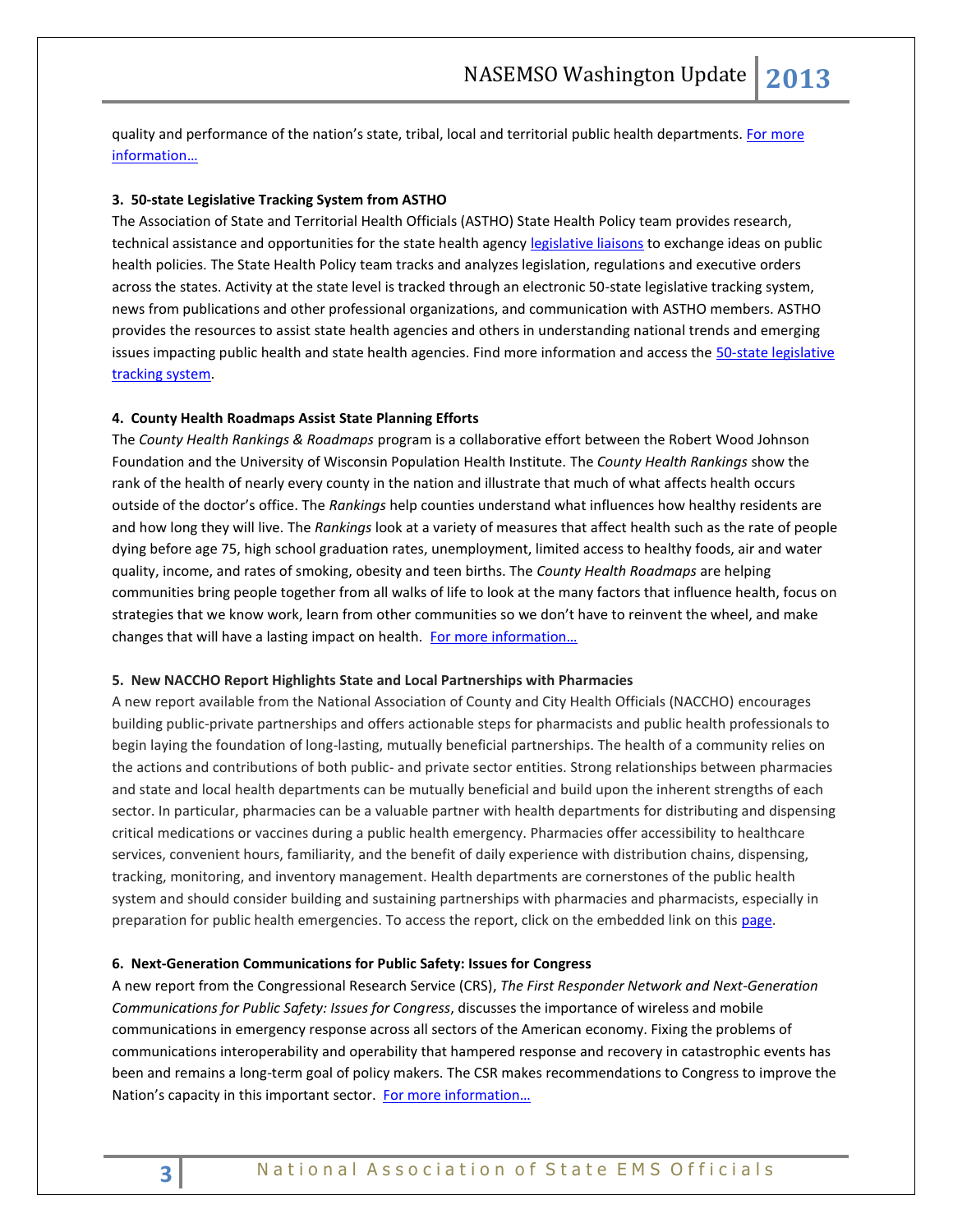quality and performance of the nation's state, tribal, local and territorial public health departments. For more [information](http://www.phaboard.org/wp-content/uploads/Eleven-Public-Health-Departments-First-to-Achieve-Accreditation.pdf)…

### **3. 50-state Legislative Tracking System from ASTHO**

The Association of State and Territorial Health Officials (ASTHO) State Health Policy team provides research, technical assistance and opportunities for the state health agency [legislative liaisons](http://www.astho.org/Programs/Workforce-and-Leadership-Development/ASTHO-Peer-Group--State-Legislative-Liaisons/) to exchange ideas on public health policies. The State Health Policy team tracks and analyzes legislation, regulations and executive orders across the states. Activity at the state level is tracked through an electronic 50-state legislative tracking system, news from publications and other professional organizations, and communication with ASTHO members. ASTHO provides the resources to assist state health agencies and others in understanding national trends and emerging issues impacting public health and state health agencies. Find more information and access the [50-state legislative](http://www.phaboard.org/wp-content/uploads/Eleven-Public-Health-Departments-First-to-Achieve-Accreditation.pdf)  [tracking system.](http://www.phaboard.org/wp-content/uploads/Eleven-Public-Health-Departments-First-to-Achieve-Accreditation.pdf)

#### **4. County Health Roadmaps Assist State Planning Efforts**

The *County Health Rankings & Roadmaps* program is a collaborative effort between the Robert Wood Johnson Foundation and the University of Wisconsin Population Health Institute. The *County Health Rankings* show the rank of the health of nearly every county in the nation and illustrate that much of what affects health occurs outside of the doctor's office. The *Rankings* help counties understand what influences how healthy residents are and how long they will live. The *Rankings* look at a variety of measures that affect health such as the rate of people dying before age 75, high school graduation rates, unemployment, limited access to healthy foods, air and water quality, income, and rates of smoking, obesity and teen births. The *County Health Roadmaps* are helping communities bring people together from all walks of life to look at the many factors that influence health, focus on strategies that we know work, learn from other communities so we don't have to reinvent the wheel, and make changes that will have a lasting impact on health. For more information...

# **5. New NACCHO Report Highlights State and Local Partnerships with Pharmacies**

A new report available from the National Association of County and City Health Officials (NACCHO) encourages building public-private partnerships and offers actionable steps for pharmacists and public health professionals to begin laying the foundation of long-lasting, mutually beneficial partnerships. The health of a community relies on the actions and contributions of both public- and private sector entities. Strong relationships between pharmacies and state and local health departments can be mutually beneficial and build upon the inherent strengths of each sector. In particular, pharmacies can be a valuable partner with health departments for distributing and dispensing critical medications or vaccines during a public health emergency. Pharmacies offer accessibility to healthcare services, convenient hours, familiarity, and the benefit of daily experience with distribution chains, dispensing, tracking, monitoring, and inventory management. Health departments are cornerstones of the public health system and should consider building and sustaining partnerships with pharmacies and pharmacists, especially in preparation for public health emergencies. To access the report, click on the embedded link on thi[s page.](http://newsmanager.commpartners.com/nacchoa/issues/2013-03-22/7.html)

#### **6. Next-Generation Communications for Public Safety: Issues for Congress**

A new report from the Congressional Research Service (CRS), *The First Responder Network and Next-Generation Communications for Public Safety: Issues for Congress*, discusses the importance of wireless and mobile communications in emergency response across all sectors of the American economy. Fixing the problems of communications interoperability and operability that hampered response and recovery in catastrophic events has been and remains a long-term goal of policy makers. The CSR makes recommendations to Congress to improve the Nation's capacity in this important sector. For more information...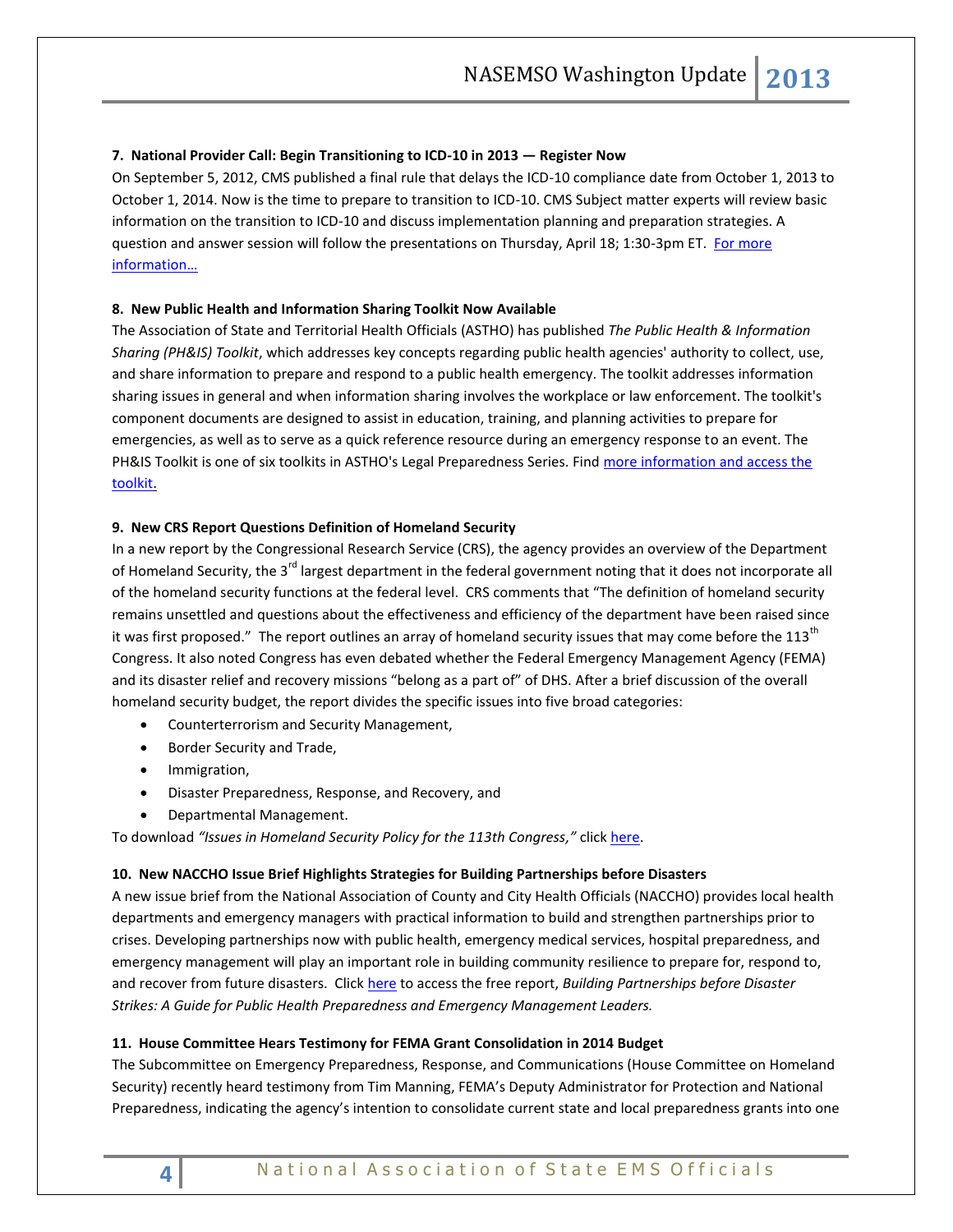# **7. National Provider Call: Begin Transitioning to ICD-10 in 2013 — Register Now**

On September 5, 2012, CMS published a final rule that delays the ICD-10 compliance date from October 1, 2013 to October 1, 2014. Now is the time to prepare to transition to ICD-10. CMS Subject matter experts will review basic information on the transition to ICD-10 and discuss implementation planning and preparation strategies. A question and answer session will follow the presentations on Thursday, April 18; 1:30-3pm ET. For more [information…](http://www.cms.gov/Outreach-and-Education/Outreach/NPC/National-Provider-Calls-and-Events-Items/2013-04-18-Transitioning-to-ICD-10.html)

# **8. New Public Health and Information Sharing Toolkit Now Available**

The Association of State and Territorial Health Officials (ASTHO) has published *The Public Health & Information Sharing (PH&IS) Toolkit*, which addresses key concepts regarding public health agencies' authority to collect, use, and share information to prepare and respond to a public health emergency. The toolkit addresses information sharing issues in general and when information sharing involves the workplace or law enforcement. The toolkit's component documents are designed to assist in education, training, and planning activities to prepare for emergencies, as well as to serve as a quick reference resource during an emergency response to an event. The PH&IS Toolkit is one of six toolkits in ASTHO's Legal Preparedness Series. Find more information and access the [toolkit.](http://www.astho.org/Programs/Preparedness/Public-Health-Emergency-Law/Public-Health-and-Information-Sharing-Toolkit/)

# **9. New CRS Report Questions Definition of Homeland Security**

In a new report by the Congressional Research Service (CRS), the agency provides an overview of the Department of Homeland Security, the 3<sup>rd</sup> largest department in the federal government noting that it does not incorporate all of the homeland security functions at the federal level. CRS comments that "The definition of homeland security remains unsettled and questions about the effectiveness and efficiency of the department have been raised since it was first proposed." The report outlines an array of homeland security issues that may come before the  $113<sup>th</sup>$ Congress. It also noted Congress has even debated whether the Federal Emergency Management Agency (FEMA) and its disaster relief and recovery missions "belong as a part of" of DHS. After a brief discussion of the overall homeland security budget, the report divides the specific issues into five broad categories:

- Counterterrorism and Security Management,
- Border Security and Trade,
- **•** Immigration,
- Disaster Preparedness, Response, and Recovery, and
- Departmental Management.

To download *"Issues in Homeland Security Policy for the 113th Congress,"* clic[k here.](http://www.fas.org/sgp/crs/homesec/R42985.pdf)

# **10. New NACCHO Issue Brief Highlights Strategies for Building Partnerships before Disasters**

A new issue brief from the National Association of County and City Health Officials (NACCHO) provides local health departments and emergency managers with practical information to build and strengthen partnerships prior to crises. Developing partnerships now with public health, emergency medical services, hospital preparedness, and emergency management will play an important role in building community resilience to prepare for, respond to, and recover from future disasters. Click [here](http://eweb.naccho.org/eweb/DynamicPage.aspx?WebCode=proddetailadd&ivd_qty=1&ivd_prc_prd_key=0577aa71-7759-4b3c-8aed-70bb1cb24f7d&Action=Add&site=naccho&ObjectKeyFrom=1A83491A-9853-4C87-86A4-F7D95601C2E2&DoNotSave=yes&ParentObject=CentralizedOrderEntry&Pa) to access the free report, *Building Partnerships before Disaster Strikes: A Guide for Public Health Preparedness and Emergency Management Leaders.*

# **11. House Committee Hears Testimony for FEMA Grant Consolidation in 2014 Budget**

The Subcommittee on Emergency Preparedness, Response, and Communications (House Committee on Homeland Security) recently heard testimony from Tim Manning, FEMA's Deputy Administrator for Protection and National Preparedness, indicating the agency's intention to consolidate current state and local preparedness grants into one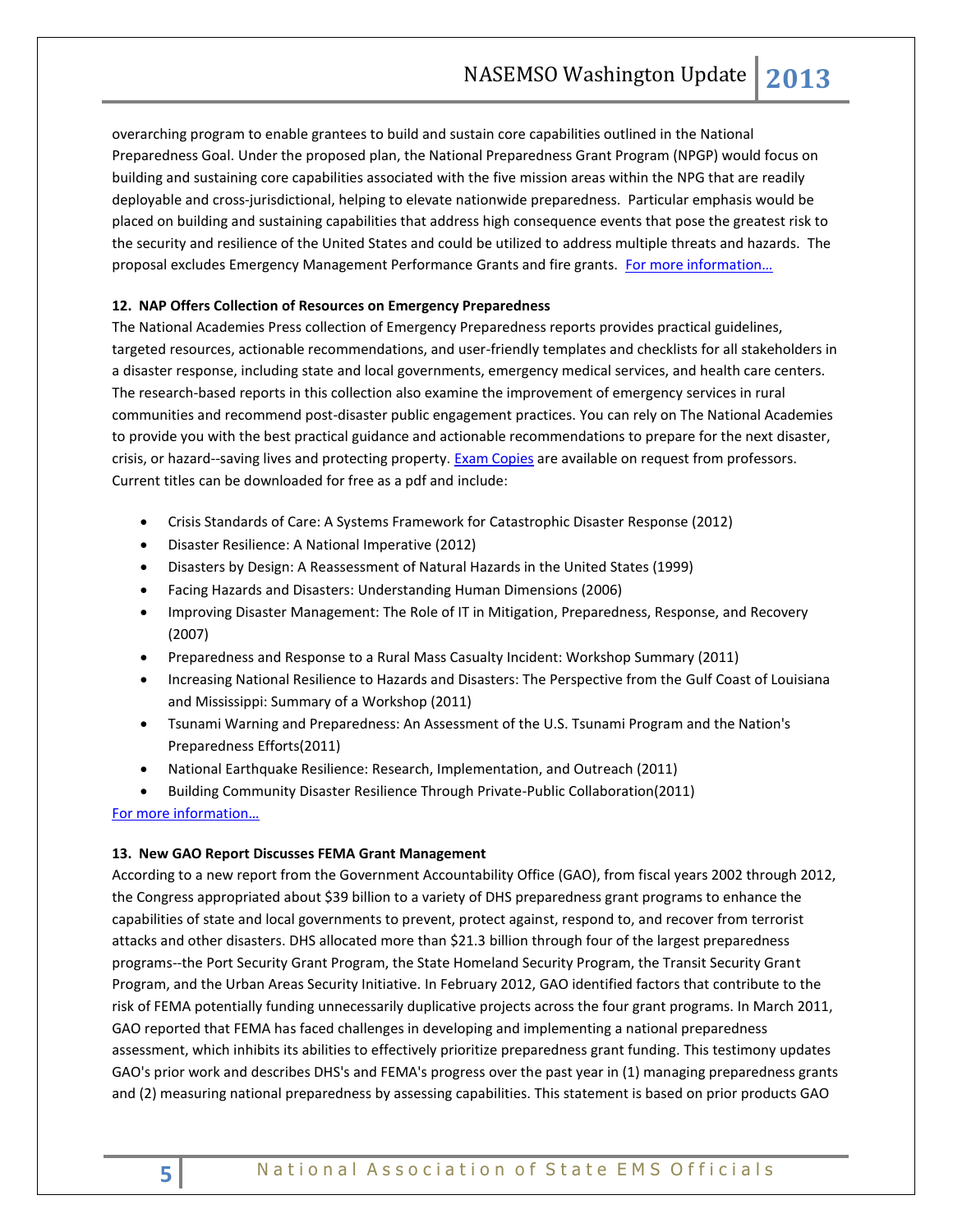overarching program to enable grantees to build and sustain core capabilities outlined in the National Preparedness Goal. Under the proposed plan, the National Preparedness Grant Program (NPGP) would focus on building and sustaining core capabilities associated with the five mission areas within the NPG that are readily deployable and cross-jurisdictional, helping to elevate nationwide preparedness. Particular emphasis would be placed on building and sustaining capabilities that address high consequence events that pose the greatest risk to the security and resilience of the United States and could be utilized to address multiple threats and hazards. The proposal excludes Emergency Management Performance Grants and fire grants. For more information...

# **12. NAP Offers Collection of Resources on Emergency Preparedness**

The National Academies Press collection of Emergency Preparedness reports provides practical guidelines, targeted resources, actionable recommendations, and user-friendly templates and checklists for all stakeholders in a disaster response, including state and local governments, emergency medical services, and health care centers. The research-based reports in this collection also examine the improvement of emergency services in rural communities and recommend post-disaster public engagement practices. You can rely on The National Academies to provide you with the best practical guidance and actionable recommendations to prepare for the next disaster, crisis, or hazard--saving lives and protecting property. [Exam Copies](http://click.newsletters.nas.edu/?qs=3015a605316d523df27239134ef60f564a3929a25185baf6adf156a44d9b6a644a26bef67b8c6257) are available on request from professors. Current titles can be downloaded for free as a pdf and include:

- Crisis Standards of Care: A Systems Framework for Catastrophic Disaster Response (2012)
- Disaster Resilience: A National Imperative (2012)
- Disasters by Design: A Reassessment of Natural Hazards in the United States (1999)
- Facing Hazards and Disasters: Understanding Human Dimensions (2006)
- Improving Disaster Management: The Role of IT in Mitigation, Preparedness, Response, and Recovery (2007)
- Preparedness and Response to a Rural Mass Casualty Incident: Workshop Summary (2011)
- Increasing National Resilience to Hazards and Disasters: The Perspective from the Gulf Coast of Louisiana and Mississippi: Summary of a Workshop (2011)
- Tsunami Warning and Preparedness: An Assessment of the U.S. Tsunami Program and the Nation's Preparedness Efforts(2011)
- National Earthquake Resilience: Research, Implementation, and Outreach (2011)
- Building Community Disaster Resilience Through Private-Public Collaboration(2011)

[For more information…](http://www.nap.edu/collection.php?id=35)

#### **13. New GAO Report Discusses FEMA Grant Management**

According to a new report from the Government Accountability Office (GAO), from fiscal years 2002 through 2012, the Congress appropriated about \$39 billion to a variety of DHS preparedness grant programs to enhance the capabilities of state and local governments to prevent, protect against, respond to, and recover from terrorist attacks and other disasters. DHS allocated more than \$21.3 billion through four of the largest preparedness programs--the Port Security Grant Program, the State Homeland Security Program, the Transit Security Grant Program, and the Urban Areas Security Initiative. In February 2012, GAO identified factors that contribute to the risk of FEMA potentially funding unnecessarily duplicative projects across the four grant programs. In March 2011, GAO reported that FEMA has faced challenges in developing and implementing a national preparedness assessment, which inhibits its abilities to effectively prioritize preparedness grant funding. This testimony updates GAO's prior work and describes DHS's and FEMA's progress over the past year in (1) managing preparedness grants and (2) measuring national preparedness by assessing capabilities. This statement is based on prior products GAO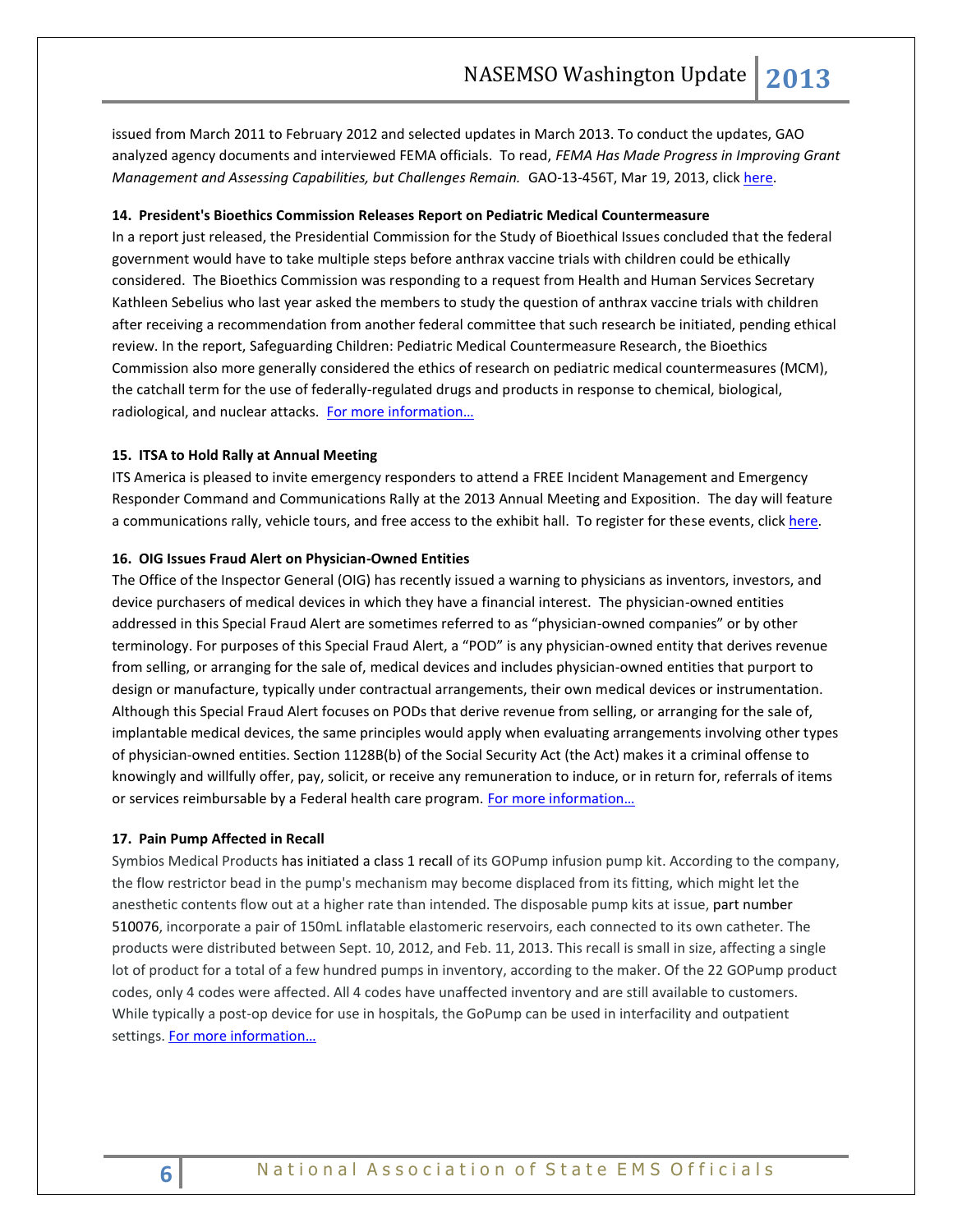issued from March 2011 to February 2012 and selected updates in March 2013. To conduct the updates, GAO analyzed agency documents and interviewed FEMA officials. To read, *FEMA Has Made Progress in Improving Grant Management and Assessing Capabilities, but Challenges Remain.* GAO-13-456T, Mar 19, 2013, click [here.](http://www.gao.gov/products/GAO-13-456T)

#### **14. President's Bioethics Commission Releases Report on Pediatric Medical Countermeasure**

In a report just released, the Presidential Commission for the Study of Bioethical Issues concluded that the federal government would have to take multiple steps before anthrax vaccine trials with children could be ethically considered. The Bioethics Commission was responding to a request from Health and Human Services Secretary Kathleen Sebelius who last year asked the members to study the question of anthrax vaccine trials with children after receiving a recommendation from another federal committee that such research be initiated, pending ethical review. In the report[, Safeguarding Children: Pediatric Medical Countermeasure Research,](http://www.bioethics.gov/cms/node/833) the Bioethics Commission also more generally considered the ethics of research on pediatric medical countermeasures (MCM), the catchall term for the use of federally-regulated drugs and products in response to chemical, biological, radiological, and nuclear attacks. For more information...

#### **15. ITSA to Hold Rally at Annual Meeting**

ITS America is pleased to invite emergency responders to attend a FREE Incident Management and Emergency Responder Command and Communications Rally at the 2013 Annual Meeting and Exposition. The day will feature a communications rally, vehicle tours, and free access to the exhibit hall. To register for these events, click [here.](http://www.itsa.org/ERDayRegistration)

#### **16. OIG Issues Fraud Alert on Physician-Owned Entities**

The Office of the Inspector General (OIG) has recently issued a warning to physicians as inventors, investors, and device purchasers of medical devices in which they have a financial interest. The physician-owned entities addressed in this Special Fraud Alert are sometimes referred to as "physician-owned companies" or by other terminology. For purposes of this Special Fraud Alert, a "POD" is any physician-owned entity that derives revenue from selling, or arranging for the sale of, medical devices and includes physician-owned entities that purport to design or manufacture, typically under contractual arrangements, their own medical devices or instrumentation. Although this Special Fraud Alert focuses on PODs that derive revenue from selling, or arranging for the sale of, implantable medical devices, the same principles would apply when evaluating arrangements involving other types of physician-owned entities. Section 1128B(b) of the Social Security Act (the Act) makes it a criminal offense to knowingly and willfully offer, pay, solicit, or receive any remuneration to induce, or in return for, referrals of items or services reimbursable by a Federal health care program. For more information...

#### **17. Pain Pump Affected in Recall**

Symbios Medical Products has initiated a class 1 recall of its GOPump infusion pump kit. According to the company, the flow restrictor bead in the pump's mechanism may become displaced from its fitting, which might let the anesthetic contents flow out at a higher rate than intended. The disposable pump kits at issue, part number 510076, incorporate a pair of 150mL inflatable elastomeric reservoirs, each connected to its own catheter. The products were distributed between Sept. 10, 2012, and Feb. 11, 2013. This recall is small in size, affecting a single lot of product for a total of a few hundred pumps in inventory, according to the maker. Of the 22 GOPump product codes, only 4 codes were affected. All 4 codes have unaffected inventory and are still available to customers. While typically a post-op device for use in hospitals, the GoPump can be used in interfacility and outpatient settings. For more information...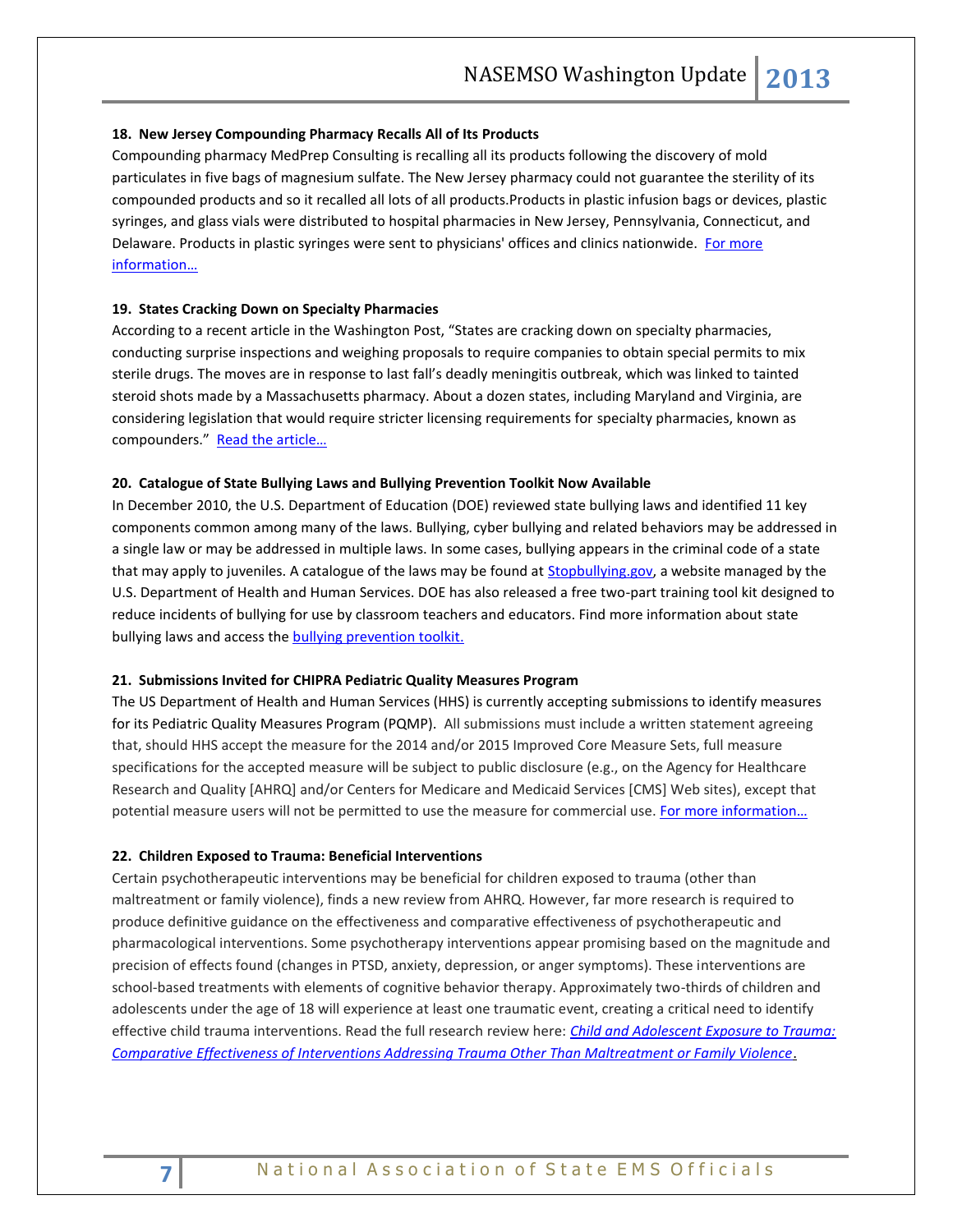#### **18. New Jersey Compounding Pharmacy Recalls All of Its Products**

Compounding pharmacy MedPrep Consulting is recalling all its products following the discovery of mold particulates in five bags of magnesium sulfate. The New Jersey pharmacy could not guarantee the sterility of its compounded products and so it recalled all lots of all products.Products in plastic infusion bags or devices, plastic syringes, and glass vials were distributed to hospital pharmacies in New Jersey, Pennsylvania, Connecticut, and Delaware. Products in plastic syringes were sent to physicians' offices and clinics nationwide. For more [information…](http://www.fda.gov/Safety/MedWatch/SafetyInformation/SafetyAlertsforHumanMedicalProducts/ucm344259.htm)

# **19. States Cracking Down on Specialty Pharmacies**

According to a recent article in the Washington Post, "States are cracking down on specialty pharmacies, conducting surprise inspections and weighing proposals to require companies to obtain special permits to mix sterile drugs. The moves are in response to last fall's deadly meningitis outbreak, which was linked to tainted steroid shots made by a Massachusetts pharmacy. About a dozen states, including Maryland and Virginia, are considering legislation that would require stricter licensing requirements for specialty pharmacies, known as compounders." Read the article...

#### **20. Catalogue of State Bullying Laws and Bullying Prevention Toolkit Now Available**

In December 2010, the U.S. Department of Education (DOE) reviewed state bullying laws and identified 11 key components common among many of the laws. Bullying, cyber bullying and related behaviors may be addressed in a single law or may be addressed in multiple laws. In some cases, bullying appears in the criminal code of a state that may apply to juveniles. A catalogue of the laws may be found at **Stopbullying.gov**, a website managed by the U.S. Department of Health and Human Services. DOE has also released a free two-part training tool kit designed to reduce incidents of bullying for use by classroom teachers and educators. Find more information about state bullying laws and access the [bullying prevention toolkit.](http://www.ed.gov/news/press-releases/us-department-education-provides-guidance-help-classroom-teachers-combat-bullyi)

#### **21. Submissions Invited for CHIPRA Pediatric Quality Measures Program**

The US Department of Health and Human Services (HHS) is currently accepting submissions to identify measures for its Pediatric Quality Measures Program (PQMP). All submissions must include a written statement agreeing that, should HHS accept the measure for the 2014 and/or 2015 Improved Core Measure Sets, full measure specifications for the accepted measure will be subject to public disclosure (e.g., on the Agency for Healthcare Research and Quality [AHRQ] and/or Centers for Medicare and Medicaid Services [CMS] Web sites), except that potential measure users will not be permitted to use the measure for commercial use. For more information...

#### **22. Children Exposed to Trauma: Beneficial Interventions**

Certain psychotherapeutic interventions may be beneficial for children exposed to trauma (other than maltreatment or family violence), finds a new review from AHRQ. However, far more research is required to produce definitive guidance on the effectiveness and comparative effectiveness of psychotherapeutic and pharmacological interventions. Some psychotherapy interventions appear promising based on the magnitude and precision of effects found (changes in PTSD, anxiety, depression, or anger symptoms). These interventions are school-based treatments with elements of cognitive behavior therapy. Approximately two-thirds of children and adolescents under the age of 18 will experience at least one traumatic event, creating a critical need to identify effective child trauma interventions. Read the full research review here: *[Child and Adolescent Exposure to Trauma:](http://effectivehealthcare.ahrq.gov/search-for-guides-reviews-and-reports/?pageaction=displayproduct&productID=1383&PC=EHCIT12)  [Comparative Effectiveness of Interventions Addressing Trauma Other Than Maltreatment or Family Violence](http://effectivehealthcare.ahrq.gov/search-for-guides-reviews-and-reports/?pageaction=displayproduct&productID=1383&PC=EHCIT12)*.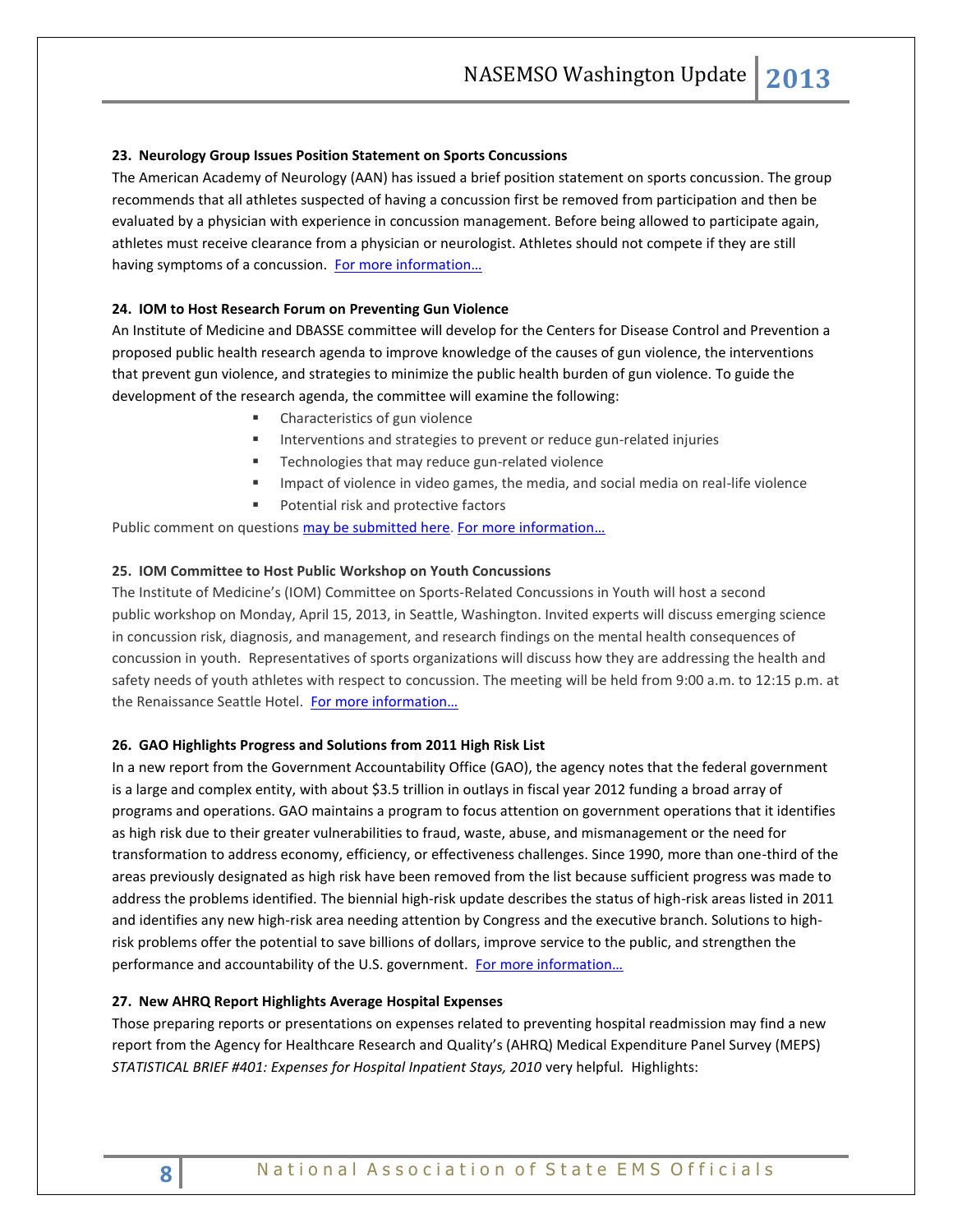# **23. Neurology Group Issues Position Statement on Sports Concussions**

The American Academy of Neurology (AAN) has issued a brief position statement on sports concussion. The group recommends that all athletes suspected of having a concussion first be removed from participation and then be evaluated by a physician with experience in concussion management. Before being allowed to participate again, athletes must receive clearance from a physician or neurologist. Athletes should not compete if they are still having symptoms of a concussion. For more information...

# **24. IOM to Host Research Forum on Preventing Gun Violence**

An Institute of Medicine and DBASSE committee will develop for the Centers for Disease Control and Prevention a proposed public health research agenda to improve knowledge of the causes of gun violence, the interventions that prevent gun violence, and strategies to minimize the public health burden of gun violence. To guide the development of the research agenda, the committee will examine the following:

- **EXECUTE:** Characteristics of gun violence
- **Interventions and strategies to prevent or reduce gun-related injuries**
- **F** Technologies that may reduce gun-related violence
- Impact of violence in video games, the media, and social media on real-life violence
- **Potential risk and protective factors**

Public comment on questions [may be submitted here.](http://www.surveygizmo.com/s3/1188789/EO-Gun-Violence-Public-Comment) [For more information](http://www8.nationalacademies.org/cp/projectview.aspx?key=IOM-EO-13-01)...

# **25. IOM Committee to Host Public Workshop on Youth Concussions**

The Institute of Medicine's (IOM) Committee on Sports-Related Concussions in Youth will host a second public workshop on Monday, April 15, 2013, in Seattle, Washington. Invited experts will discuss emerging science in concussion risk, diagnosis, and management, and research findings on the mental health consequences of concussion in youth. Representatives of sports organizations will discuss how they are addressing the health and safety needs of youth athletes with respect to concussion. The meeting will be held from 9:00 a.m. to 12:15 p.m. at the Renaissance Seattle Hotel. For more information...

# **26. GAO Highlights Progress and Solutions from 2011 High Risk List**

In a new report from the Government Accountability Office (GAO), the agency notes that the federal government is a large and complex entity, with about \$3.5 trillion in outlays in fiscal year 2012 funding a broad array of programs and operations. GAO maintains a program to focus attention on government operations that it identifies as high risk due to their greater vulnerabilities to fraud, waste, abuse, and mismanagement or the need for transformation to address economy, efficiency, or effectiveness challenges. Since 1990, more than one-third of the areas previously designated as high risk have been removed from the list because sufficient progress was made to address the problems identified. The biennial high-risk update describes the status of high-risk areas listed in 2011 and identifies any new high-risk area needing attention by Congress and the executive branch. Solutions to highrisk problems offer the potential to save billions of dollars, improve service to the public, and strengthen the performance and accountability of the U.S. government. For more information...

# **27. New AHRQ Report Highlights Average Hospital Expenses**

Those preparing reports or presentations on expenses related to preventing hospital readmission may find a new report from the Agency for Healthcare Research and Quality's (AHRQ) Medical Expenditure Panel Survey (MEPS) *STATISTICAL BRIEF #401: Expenses for Hospital Inpatient Stays, 2010* very helpful*.* Highlights: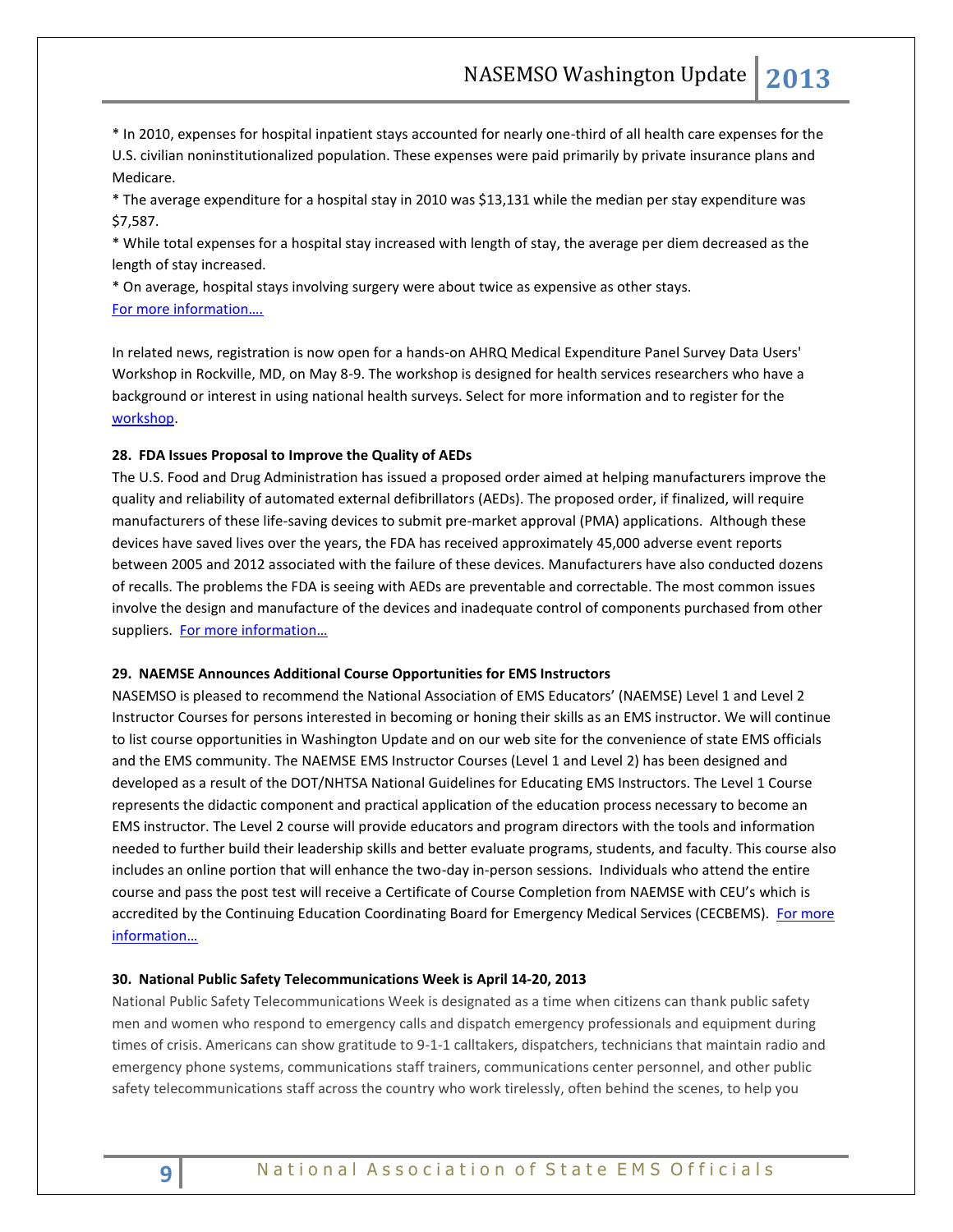\* In 2010, expenses for hospital inpatient stays accounted for nearly one-third of all health care expenses for the U.S. civilian noninstitutionalized population. These expenses were paid primarily by private insurance plans and Medicare.

\* The average expenditure for a hospital stay in 2010 was \$13,131 while the median per stay expenditure was \$7,587.

\* While total expenses for a hospital stay increased with length of stay, the average per diem decreased as the length of stay increased.

\* On average, hospital stays involving surgery were about twice as expensive as other stays. [For more information….](http://meps.ahrq.gov/mepsweb/data_files/publications/st401/stat401.shtml)

In related news, registration is now open for a hands-on AHRQ Medical Expenditure Panel Survey Data Users' Workshop in Rockville, MD, on May 8-9. The workshop is designed for health services researchers who have a background or interest in using national health surveys. Select for more information and to register for the [workshop.](http://meps.ahrq.gov/mepsweb/about_meps/workshops_events.jsp)

# **28. FDA Issues Proposal to Improve the Quality of AEDs**

The U.S. Food and Drug Administration has issued a proposed order aimed at helping manufacturers improve the quality and reliability of automated external defibrillators (AEDs). The proposed order, if finalized, will require manufacturers of these life-saving devices to submit pre-market approval (PMA) applications. Although these devices have saved lives over the years, the FDA has received approximately 45,000 adverse event reports between 2005 and 2012 associated with the failure of these devices. Manufacturers have also conducted dozens of recalls. The problems the FDA is seeing with AEDs are preventable and correctable. The most common issues involve the design and manufacture of the devices and inadequate control of components purchased from other suppliers. For more information...

#### **29. NAEMSE Announces Additional Course Opportunities for EMS Instructors**

NASEMSO is pleased to recommend the National Association of EMS Educators' (NAEMSE) Level 1 and Level 2 Instructor Courses for persons interested in becoming or honing their skills as an EMS instructor. We will continue to list course opportunities in Washington Update and on our web site for the convenience of state EMS officials and the EMS community. The NAEMSE EMS Instructor Courses (Level 1 and Level 2) has been designed and developed as a result of the DOT/NHTSA National Guidelines for Educating EMS Instructors. The Level 1 Course represents the didactic component and practical application of the education process necessary to become an EMS instructor. The Level 2 course will provide educators and program directors with the tools and information needed to further build their leadership skills and better evaluate programs, students, and faculty. This course also includes an online portion that will enhance the two-day in-person sessions. Individuals who attend the entire course and pass the post test will receive a Certificate of Course Completion from NAEMSE with CEU's which is accredited by the Continuing Education Coordinating Board for Emergency Medical Services (CECBEMS). For more [information…](http://www.naemse.org/)

#### **30. National Public Safety Telecommunications Week is April 14-20, 2013**

National Public Safety Telecommunications Week is designated as a time when citizens can thank public safety men and women who respond to emergency calls and dispatch emergency professionals and equipment during times of crisis. Americans can show gratitude to 9-1-1 calltakers, dispatchers, technicians that maintain radio and emergency phone systems, communications staff trainers, communications center personnel, and other public safety telecommunications staff across the country who work tirelessly, often behind the scenes, to help you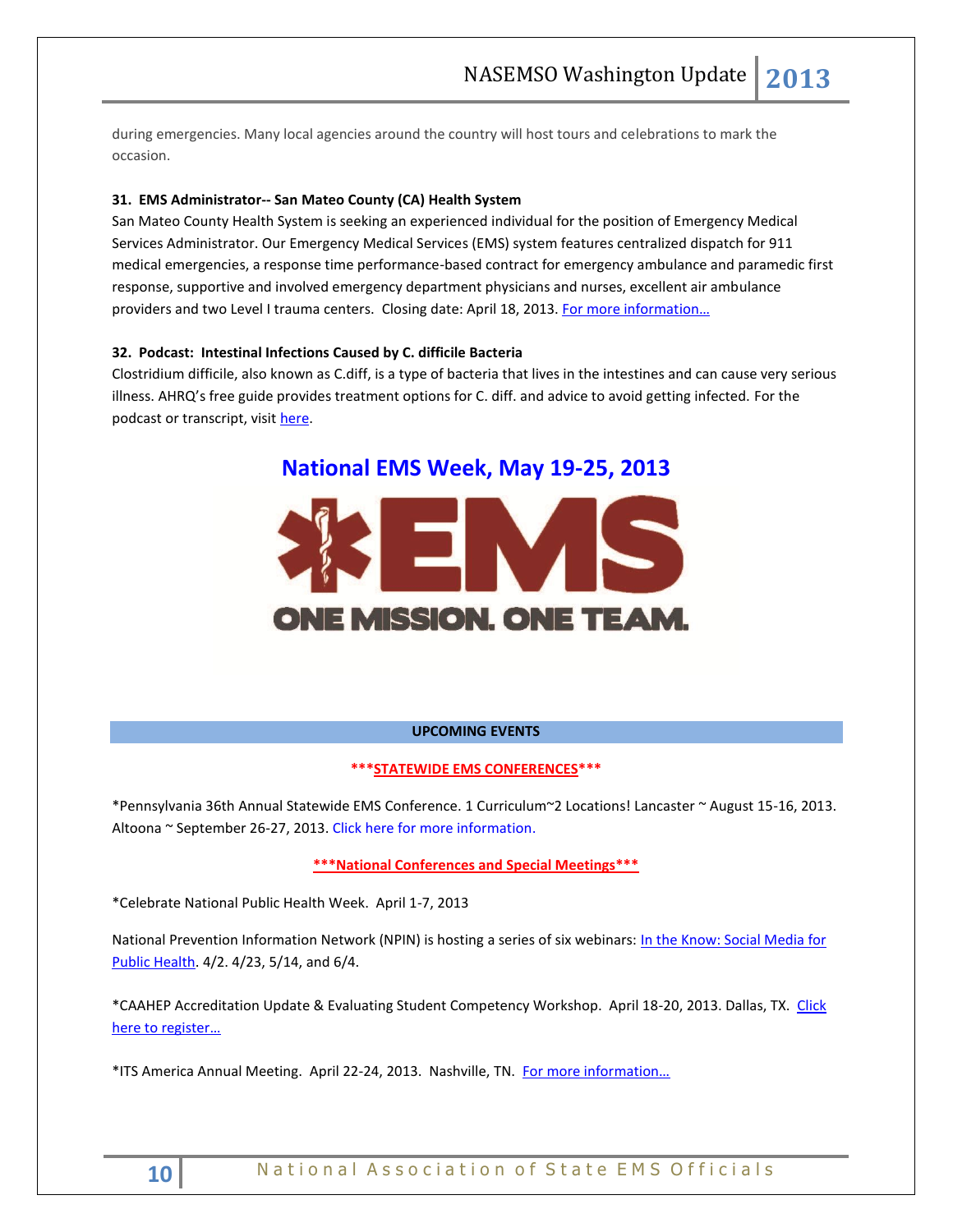during emergencies. Many local agencies around the country will host tours and celebrations to mark the occasion.

# **31. EMS Administrator-- San Mateo County (CA) Health System**

San Mateo County Health System is seeking an experienced individual for the position of Emergency Medical Services Administrator. Our Emergency Medical Services (EMS) system features centralized dispatch for 911 medical emergencies, a response time performance-based contract for emergency ambulance and paramedic first response, supportive and involved emergency department physicians and nurses, excellent air ambulance providers and two Level I trauma centers. Closing date: April 18, 2013. For more information...

### **32. Podcast: Intestinal Infections Caused by C. difficile Bacteria**

Clostridium difficile, also known as C.diff, is a type of bacteria that lives in the intestines and can cause very serious illness. AHRQ's free guide provides treatment options for C. diff. and advice to avoid getting infected. For the podcast or transcript, visit [here.](http://healthcare411.ahrq.gov/radiocastseg.aspx?id=1358&type=seg)



#### **UPCOMING EVENTS**

# **\*\*\*STATEWIDE EMS CONFERENCES\*\*\***

\*Pennsylvania 36th Annual Statewide EMS Conference. 1 Curriculum~2 Locations! Lancaster ~ August 15-16, 2013. Altoona ~ September 26-27, 2013. [Click here for more information.](http://www.cvent.com/d/2cqcf0/1Q)

**\*\*\*National Conferences and Special Meetings\*\*\***

\*Celebrate National Public Health Week. April 1-7, 2013

National Prevention Information Network (NPIN) is hosting a series of six webinars: In the Know: Social Media for [Public Health.](http://www.cdcnpin.org/scripts/features/feature_itk.asp) 4/2. 4/23, 5/14, and 6/4.

\*CAAHEP Accreditation Update & Evaluating Student Competency Workshop. April 18-20, 2013. Dallas, TX. [Click](http://www.naemse.org/CAAHEPworkshop/)  [here to register…](http://www.naemse.org/CAAHEPworkshop/)

\*ITS America Annual Meeting. April 22-24, 2013. Nashville, TN. [For more information…](http://www.itsa.org/annualmeeting)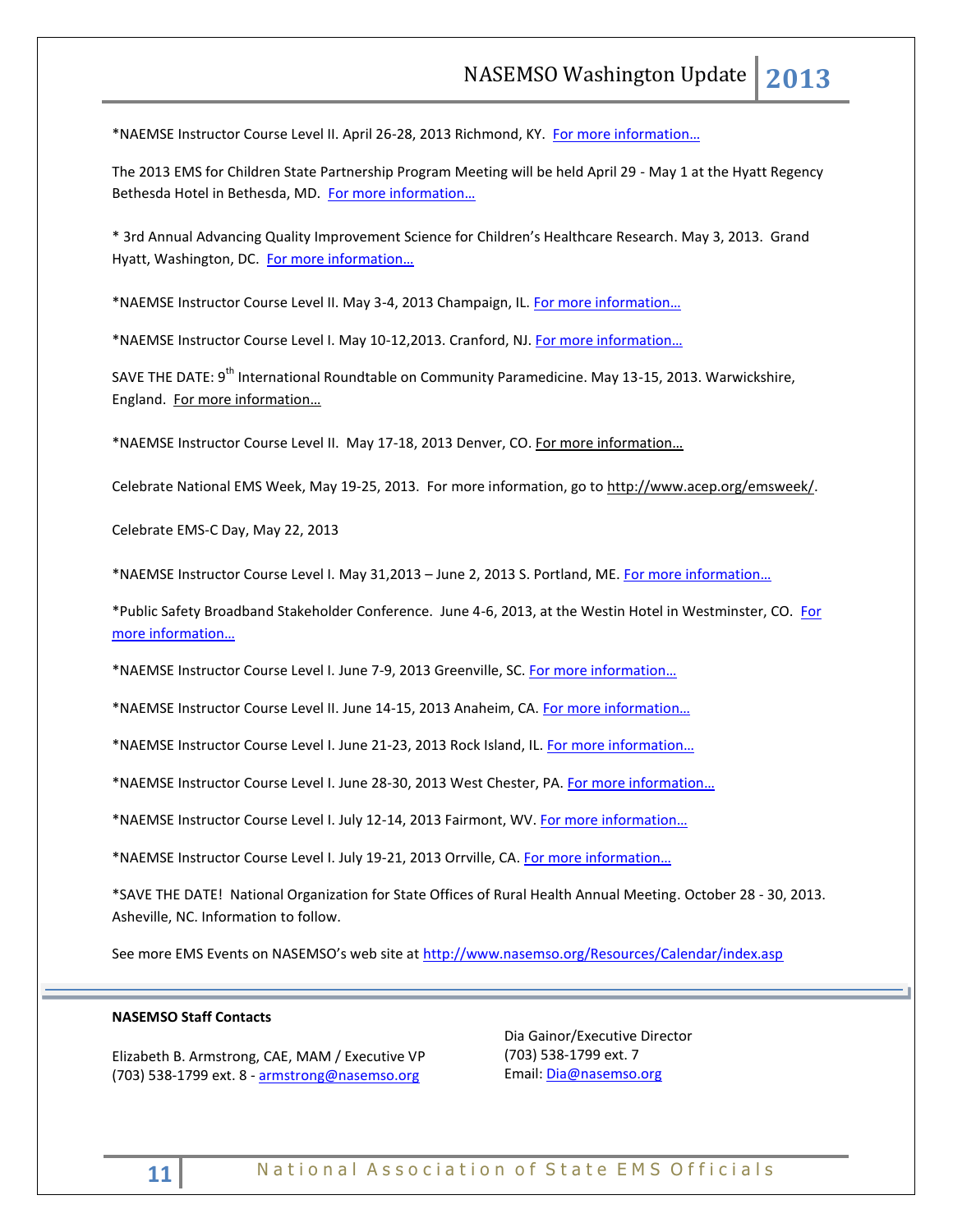\*NAEMSE Instructor Course Level II. April 26-28, 2013 Richmond, KY. For more information...

The 2013 EMS for Children State Partnership Program Meeting will be held April 29 - May 1 at the Hyatt Regency Bethesda Hotel in Bethesda, MD. [For more information…](http://www.childrensnational.org/emsc/)

\* 3rd Annual Advancing Quality Improvement Science for Children's Healthcare Research. May 3, 2013. Grand Hyatt, Washington, DC. [For more information…](http://www.academicpeds.org/Elink/APA_QI_Conference_Registration_Packet.pdf)

\*NAEMSE Instructor Course Level II. May 3-4, 2013 Champaign, IL. [For more information…](http://www.naemse.org/)

\*NAEMSE Instructor Course Level I. May 10-12,2013. Cranford, NJ. For more information...

SAVE THE DATE: 9<sup>th</sup> International Roundtable on Community Paramedicine. May 13-15, 2013. Warwickshire, England. [For more information…](http://www.ircp.info/)

\*NAEMSE Instructor Course Level II. May 17-18, 2013 Denver, CO. For more information...

Celebrate National EMS Week, May 19-25, 2013. For more information, go to [http://www.acep.org/emsweek/.](http://www.acep.org/emsweek/) 

Celebrate EMS-C Day, May 22, 2013

\*NAEMSE Instructor Course Level I. May 31,2013 – June 2, 2013 S. Portland, ME. [For more information…](http://www.naemse.org/)

\*Public Safety Broadband Stakeholder Conference. June 4-6, 2013, at the Westin Hotel in Westminster, CO. [For](http://www.pscr.gov/about_pscr/highlights/psbb_062013/psbb_june_2013_stakeholder_mtg_info.php)  [more information…](http://www.pscr.gov/about_pscr/highlights/psbb_062013/psbb_june_2013_stakeholder_mtg_info.php)

\*NAEMSE Instructor Course Level I. June 7-9, 2013 Greenville, SC. [For more information…](http://www.naemse.org/)

\*NAEMSE Instructor Course Level II. June 14-15, 2013 Anaheim, CA. [For more information…](http://www.naemse.org/)

\*NAEMSE Instructor Course Level I. June 21-23, 2013 Rock Island, IL. [For more information…](http://www.naemse.org/)

\*NAEMSE Instructor Course Level I. June 28-30, 2013 West Chester, PA. [For more information…](http://www.naemse.org/)

\*NAEMSE Instructor Course Level I. July 12-14, 2013 Fairmont, WV. [For more information…](http://www.naemse.org/)

\*NAEMSE Instructor Course Level I. July 19-21, 2013 Orrville, CA. [For more information…](http://www.naemse.org/)

\*SAVE THE DATE! National Organization for State Offices of Rural Health Annual Meeting. October 28 - 30, 2013. Asheville, NC. Information to follow.

See more EMS Events on NASEMSO's web site at <http://www.nasemso.org/Resources/Calendar/index.asp>

# **NASEMSO Staff Contacts**

Elizabeth B. Armstrong, CAE, MAM / Executive VP (703) 538-1799 ext. 8 - [armstrong@nasemso.org](mailto:armstrong@nasemso.org)

Dia Gainor/Executive Director (703) 538-1799 ext. 7 Email: [Dia@nasemso.org](mailto:Dia@nasemso.org)